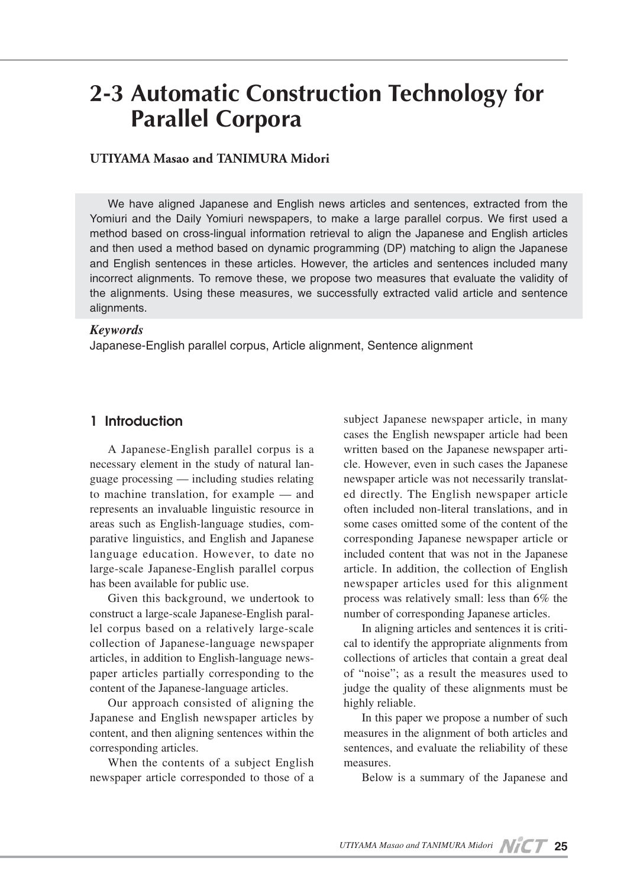# **2-3 Automatic Construction Technology for Parallel Corpora**

#### **UTIYAMA Masao and TANIMURA Midori**

We have aligned Japanese and English news articles and sentences, extracted from the Yomiuri and the Daily Yomiuri newspapers, to make a large parallel corpus. We first used a method based on cross-lingual information retrieval to align the Japanese and English articles and then used a method based on dynamic programming (DP) matching to align the Japanese and English sentences in these articles. However, the articles and sentences included many incorrect alignments. To remove these, we propose two measures that evaluate the validity of the alignments. Using these measures, we successfully extracted valid article and sentence alignments.

#### *Keywords*

Japanese-English parallel corpus, Article alignment, Sentence alignment

#### **1 Introduction**

A Japanese-English parallel corpus is a necessary element in the study of natural language processing — including studies relating to machine translation, for example — and represents an invaluable linguistic resource in areas such as English-language studies, comparative linguistics, and English and Japanese language education. However, to date no large-scale Japanese-English parallel corpus has been available for public use.

Given this background, we undertook to construct a large-scale Japanese-English parallel corpus based on a relatively large-scale collection of Japanese-language newspaper articles, in addition to English-language newspaper articles partially corresponding to the content of the Japanese-language articles.

Our approach consisted of aligning the Japanese and English newspaper articles by content, and then aligning sentences within the corresponding articles.

When the contents of a subject English newspaper article corresponded to those of a

subject Japanese newspaper article, in many cases the English newspaper article had been written based on the Japanese newspaper article. However, even in such cases the Japanese newspaper article was not necessarily translated directly. The English newspaper article often included non-literal translations, and in some cases omitted some of the content of the corresponding Japanese newspaper article or included content that was not in the Japanese article. In addition, the collection of English newspaper articles used for this alignment process was relatively small: less than 6% the number of corresponding Japanese articles.

In aligning articles and sentences it is critical to identify the appropriate alignments from collections of articles that contain a great deal of "noise"; as a result the measures used to judge the quality of these alignments must be highly reliable.

In this paper we propose a number of such measures in the alignment of both articles and sentences, and evaluate the reliability of these measures.

Below is a summary of the Japanese and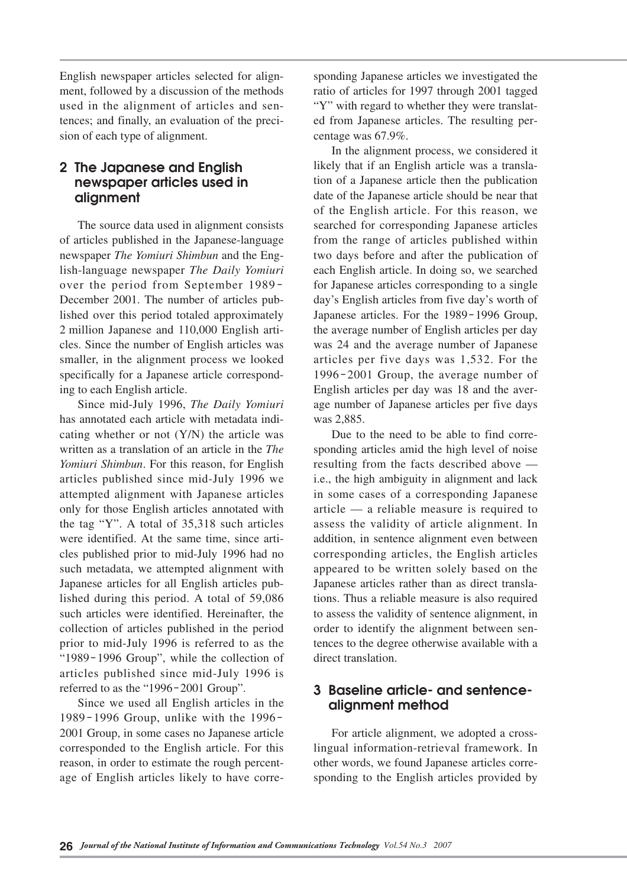English newspaper articles selected for alignment, followed by a discussion of the methods used in the alignment of articles and sentences; and finally, an evaluation of the precision of each type of alignment.

## **2 The Japanese and English newspaper articles used in alignment**

The source data used in alignment consists of articles published in the Japanese-language newspaper *The Yomiuri Shimbun* and the English-language newspaper *The Daily Yomiuri* over the period from September 1989- December 2001. The number of articles published over this period totaled approximately 2 million Japanese and 110,000 English articles. Since the number of English articles was smaller, in the alignment process we looked specifically for a Japanese article corresponding to each English article.

Since mid-July 1996, *The Daily Yomiuri* has annotated each article with metadata indicating whether or not (Y/N) the article was written as a translation of an article in the *The Yomiuri Shimbun*. For this reason, for English articles published since mid-July 1996 we attempted alignment with Japanese articles only for those English articles annotated with the tag "Y". A total of 35,318 such articles were identified. At the same time, since articles published prior to mid-July 1996 had no such metadata, we attempted alignment with Japanese articles for all English articles published during this period. A total of 59,086 such articles were identified. Hereinafter, the collection of articles published in the period prior to mid-July 1996 is referred to as the "1989-1996 Group", while the collection of articles published since mid-July 1996 is referred to as the "1996-2001 Group".

Since we used all English articles in the 1989-1996 Group, unlike with the 1996- 2001 Group, in some cases no Japanese article corresponded to the English article. For this reason, in order to estimate the rough percentage of English articles likely to have corresponding Japanese articles we investigated the ratio of articles for 1997 through 2001 tagged "Y" with regard to whether they were translated from Japanese articles. The resulting percentage was 67.9%.

In the alignment process, we considered it likely that if an English article was a translation of a Japanese article then the publication date of the Japanese article should be near that of the English article. For this reason, we searched for corresponding Japanese articles from the range of articles published within two days before and after the publication of each English article. In doing so, we searched for Japanese articles corresponding to a single day's English articles from five day's worth of Japanese articles. For the 1989-1996 Group, the average number of English articles per day was 24 and the average number of Japanese articles per five days was 1,532. For the 1996-2001 Group, the average number of English articles per day was 18 and the average number of Japanese articles per five days was 2,885.

Due to the need to be able to find corresponding articles amid the high level of noise resulting from the facts described above i.e., the high ambiguity in alignment and lack in some cases of a corresponding Japanese article — a reliable measure is required to assess the validity of article alignment. In addition, in sentence alignment even between corresponding articles, the English articles appeared to be written solely based on the Japanese articles rather than as direct translations. Thus a reliable measure is also required to assess the validity of sentence alignment, in order to identify the alignment between sentences to the degree otherwise available with a direct translation.

## **3 Baseline article- and sentencealignment method**

For article alignment, we adopted a crosslingual information-retrieval framework. In other words, we found Japanese articles corresponding to the English articles provided by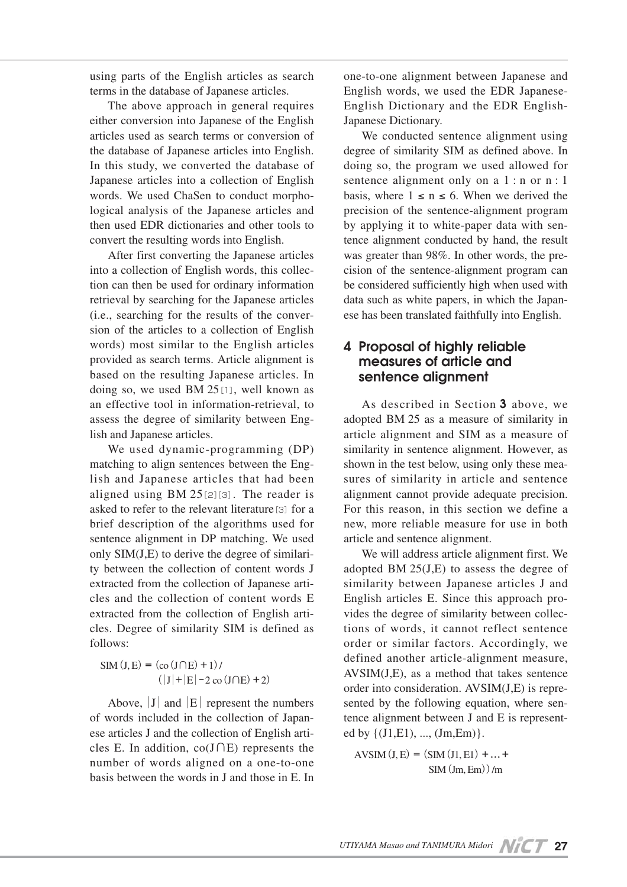using parts of the English articles as search terms in the database of Japanese articles.

The above approach in general requires either conversion into Japanese of the English articles used as search terms or conversion of the database of Japanese articles into English. In this study, we converted the database of Japanese articles into a collection of English words. We used ChaSen to conduct morphological analysis of the Japanese articles and then used EDR dictionaries and other tools to convert the resulting words into English.

After first converting the Japanese articles into a collection of English words, this collection can then be used for ordinary information retrieval by searching for the Japanese articles (i.e., searching for the results of the conversion of the articles to a collection of English words) most similar to the English articles provided as search terms. Article alignment is based on the resulting Japanese articles. In doing so, we used BM 25[1], well known as an effective tool in information-retrieval, to assess the degree of similarity between English and Japanese articles.

We used dynamic-programming (DP) matching to align sentences between the English and Japanese articles that had been aligned using BM 25[2][3]. The reader is asked to refer to the relevant literature<sup>[3]</sup> for a brief description of the algorithms used for sentence alignment in DP matching. We used only SIM(J,E) to derive the degree of similarity between the collection of content words J extracted from the collection of Japanese articles and the collection of content words E extracted from the collection of English articles. Degree of similarity SIM is defined as follows:

 $SIM(J, E) = (co(J \cap E) + 1)$  $(|J|+|E|-2 \text{ co } (J \cap E)+2)$ 

Above,  $|J|$  and  $|E|$  represent the numbers of words included in the collection of Japanese articles J and the collection of English articles E. In addition, co(J∩E) represents the number of words aligned on a one-to-one basis between the words in J and those in E. In

one-to-one alignment between Japanese and English words, we used the EDR Japanese-English Dictionary and the EDR English-Japanese Dictionary.

We conducted sentence alignment using degree of similarity SIM as defined above. In doing so, the program we used allowed for sentence alignment only on a 1 : n or n : 1 basis, where  $1 \le n \le 6$ . When we derived the precision of the sentence-alignment program by applying it to white-paper data with sentence alignment conducted by hand, the result was greater than 98%. In other words, the precision of the sentence-alignment program can be considered sufficiently high when used with data such as white papers, in which the Japanese has been translated faithfully into English.

#### **4 Proposal of highly reliable measures of article and sentence alignment**

As described in Section **3** above, we adopted BM 25 as a measure of similarity in article alignment and SIM as a measure of similarity in sentence alignment. However, as shown in the test below, using only these measures of similarity in article and sentence alignment cannot provide adequate precision. For this reason, in this section we define a new, more reliable measure for use in both article and sentence alignment.

We will address article alignment first. We adopted BM 25(J,E) to assess the degree of similarity between Japanese articles J and English articles E. Since this approach provides the degree of similarity between collections of words, it cannot reflect sentence order or similar factors. Accordingly, we defined another article-alignment measure, AVSIM(J,E), as a method that takes sentence order into consideration. AVSIM(J,E) is represented by the following equation, where sentence alignment between J and E is represented by  $\{(J1,E1), ..., (Jm,Em)\}.$ 

AVSIM $(I, E) = (SIM (I1, E1) + ... +$  $SIM(Im Fm))/m$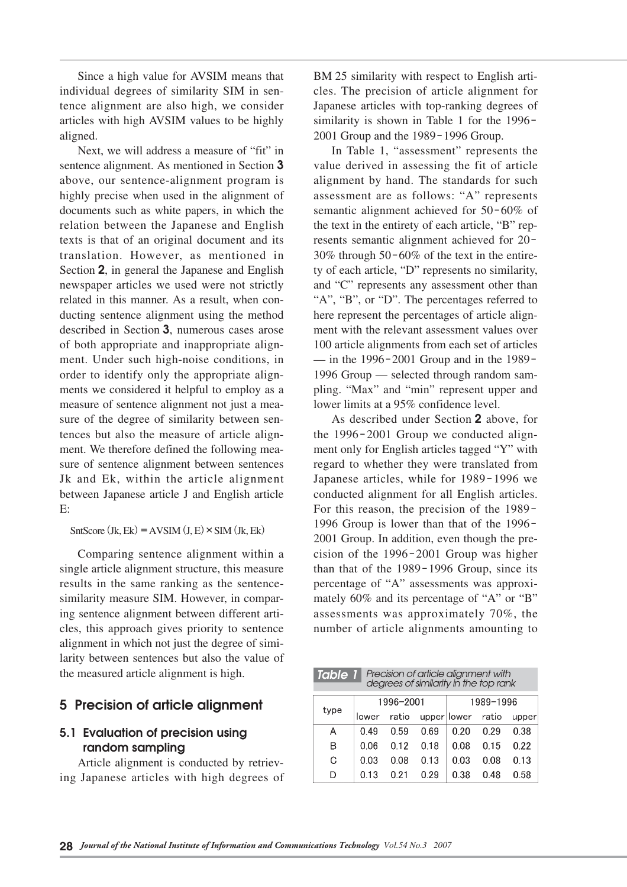Since a high value for AVSIM means that individual degrees of similarity SIM in sentence alignment are also high, we consider articles with high AVSIM values to be highly aligned.

Next, we will address a measure of "fit" in sentence alignment. As mentioned in Section **3** above, our sentence-alignment program is highly precise when used in the alignment of documents such as white papers, in which the relation between the Japanese and English texts is that of an original document and its translation. However, as mentioned in Section **2**, in general the Japanese and English newspaper articles we used were not strictly related in this manner. As a result, when conducting sentence alignment using the method described in Section **3**, numerous cases arose of both appropriate and inappropriate alignment. Under such high-noise conditions, in order to identify only the appropriate alignments we considered it helpful to employ as a measure of sentence alignment not just a measure of the degree of similarity between sentences but also the measure of article alignment. We therefore defined the following measure of sentence alignment between sentences Jk and Ek, within the article alignment between Japanese article J and English article E:

SntScore (Jk, Ek) = AVSIM (J, E)  $\times$  SIM (Jk, Ek)

Comparing sentence alignment within a single article alignment structure, this measure results in the same ranking as the sentencesimilarity measure SIM. However, in comparing sentence alignment between different articles, this approach gives priority to sentence alignment in which not just the degree of similarity between sentences but also the value of the measured article alignment is high.

## **5 Precision of article alignment**

## **5.1 Evaluation of precision using random sampling**

Article alignment is conducted by retrieving Japanese articles with high degrees of BM 25 similarity with respect to English articles. The precision of article alignment for Japanese articles with top-ranking degrees of similarity is shown in Table 1 for the 1996- 2001 Group and the 1989-1996 Group.

In Table 1, "assessment" represents the value derived in assessing the fit of article alignment by hand. The standards for such assessment are as follows: "A" represents semantic alignment achieved for 50-60% of the text in the entirety of each article, "B" represents semantic alignment achieved for 20- 30% through 50-60% of the text in the entirety of each article, "D" represents no similarity, and "C" represents any assessment other than "A", "B", or "D". The percentages referred to here represent the percentages of article alignment with the relevant assessment values over 100 article alignments from each set of articles — in the 1996-2001 Group and in the 1989- 1996 Group — selected through random sampling. "Max" and "min" represent upper and lower limits at a 95% confidence level.

As described under Section **2** above, for the 1996-2001 Group we conducted alignment only for English articles tagged "Y" with regard to whether they were translated from Japanese articles, while for 1989-1996 we conducted alignment for all English articles. For this reason, the precision of the 1989- 1996 Group is lower than that of the 1996- 2001 Group. In addition, even though the precision of the 1996-2001 Group was higher than that of the 1989-1996 Group, since its percentage of "A" assessments was approximately 60% and its percentage of "A" or "B" assessments was approximately 70%, the number of article alignments amounting to

| Precision of article alignment with<br>degrees of similarity in the top rank<br><b>Table 1</b> |           |       |      |             |       |       |
|------------------------------------------------------------------------------------------------|-----------|-------|------|-------------|-------|-------|
| type                                                                                           | 1996-2001 |       |      | 1989-1996   |       |       |
|                                                                                                | lower     | ratio |      | upper lower | ratio | upper |
| А                                                                                              | O 49      | 0.59  | 0.69 | 0 20        | በ 29  | 0.38  |
| в                                                                                              | 0.06      | 0.12  | 0 18 | 0.08        | 0.15  | 0.22  |
| G                                                                                              | 0.03      | 0 08  | 0.13 | 0.03        | 0 O.S | 0.13  |
| D                                                                                              | 0.13      | በ 21  | 0.29 | 0.38        | 0.48  | 0.58  |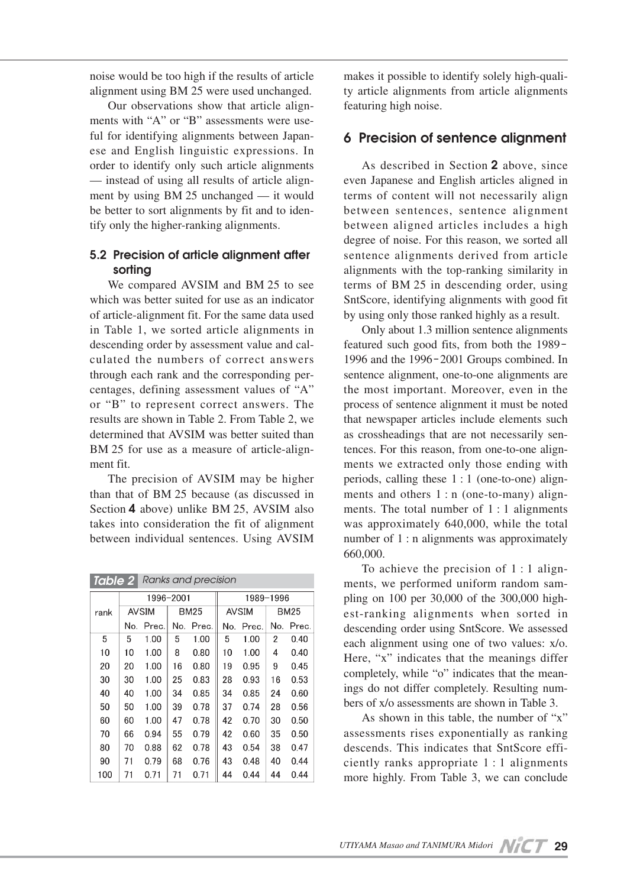noise would be too high if the results of article alignment using BM 25 were used unchanged.

Our observations show that article alignments with "A" or "B" assessments were useful for identifying alignments between Japanese and English linguistic expressions. In order to identify only such article alignments — instead of using all results of article alignment by using BM 25 unchanged — it would be better to sort alignments by fit and to identify only the higher-ranking alignments.

#### **5.2 Precision of article alignment after sorting**

We compared AVSIM and BM 25 to see which was better suited for use as an indicator of article-alignment fit. For the same data used in Table 1, we sorted article alignments in descending order by assessment value and calculated the numbers of correct answers through each rank and the corresponding percentages, defining assessment values of "A" or "B" to represent correct answers. The results are shown in Table 2. From Table 2, we determined that AVSIM was better suited than BM 25 for use as a measure of article-alignment fit.

The precision of AVSIM may be higher than that of BM 25 because (as discussed in Section **4** above) unlike BM 25, AVSIM also takes into consideration the fit of alignment between individual sentences. Using AVSIM

| <b>Taple 2</b><br><b>RUITIES CITIG DI ECISIOIT</b> |           |              |     |             |           |              |     |       |  |
|----------------------------------------------------|-----------|--------------|-----|-------------|-----------|--------------|-----|-------|--|
|                                                    | 1996–2001 |              |     |             | 1989-1996 |              |     |       |  |
| rank                                               |           | <b>AVSIM</b> |     | <b>BM25</b> |           | <b>AVSIM</b> |     | BM25  |  |
|                                                    | No.       | Prec.        | No. | Prec.       | No.       | Prec.        | No. | Prec. |  |
| 5                                                  | 5         | 1.00         | 5   | 1.00        | 5         | 1.00         | 2   | 0.40  |  |
| 10                                                 | 10        | 1.00         | 8   | 0.80        | 10        | 1.00         | 4   | 0.40  |  |
| 20                                                 | 20        | 1.00         | 16  | 0.80        | 19        | 0.95         | 9   | 0.45  |  |
| 30                                                 | 30        | 1.00         | 25  | 0.83        | 28        | 0.93         | 16  | 0.53  |  |
| 40                                                 | 40        | 1.00         | 34  | 0.85        | 34        | 0.85         | 24  | 0.60  |  |
| 50                                                 | 50        | 1.00         | 39  | 0.78        | 37        | 0.74         | 28  | 0.56  |  |
| 60                                                 | 60        | 1.00         | 47  | 0.78        | 42        | 0.70         | 30  | 0.50  |  |
| 70                                                 | 66        | 0.94         | 55  | 0.79        | 42        | 0.60         | 35  | 0.50  |  |
| 80                                                 | 70        | 0.88         | 62  | 0.78        | 43        | 0.54         | 38  | 0.47  |  |
| 90                                                 | 71        | 0.79         | 68  | 0.76        | 43        | 0.48         | 40  | 0.44  |  |
| 100                                                | 71        | 0.71         | 71  | 0.71        | 44        | 0.44         | 44  | 0.44  |  |

*Table 2 Ranks and precision*

makes it possible to identify solely high-quality article alignments from article alignments featuring high noise.

## **6 Precision of sentence alignment**

As described in Section **2** above, since even Japanese and English articles aligned in terms of content will not necessarily align between sentences, sentence alignment between aligned articles includes a high degree of noise. For this reason, we sorted all sentence alignments derived from article alignments with the top-ranking similarity in terms of BM 25 in descending order, using SntScore, identifying alignments with good fit by using only those ranked highly as a result.

Only about 1.3 million sentence alignments featured such good fits, from both the 1989- 1996 and the 1996-2001 Groups combined. In sentence alignment, one-to-one alignments are the most important. Moreover, even in the process of sentence alignment it must be noted that newspaper articles include elements such as crossheadings that are not necessarily sentences. For this reason, from one-to-one alignments we extracted only those ending with periods, calling these 1 : 1 (one-to-one) alignments and others 1 : n (one-to-many) alignments. The total number of  $1:1$  alignments was approximately 640,000, while the total number of 1 : n alignments was approximately 660,000.

To achieve the precision of 1 : 1 alignments, we performed uniform random sampling on 100 per 30,000 of the 300,000 highest-ranking alignments when sorted in descending order using SntScore. We assessed each alignment using one of two values: x/o. Here, "x" indicates that the meanings differ completely, while "o" indicates that the meanings do not differ completely. Resulting numbers of x/o assessments are shown in Table 3.

As shown in this table, the number of "x" assessments rises exponentially as ranking descends. This indicates that SntScore efficiently ranks appropriate 1 : 1 alignments more highly. From Table 3, we can conclude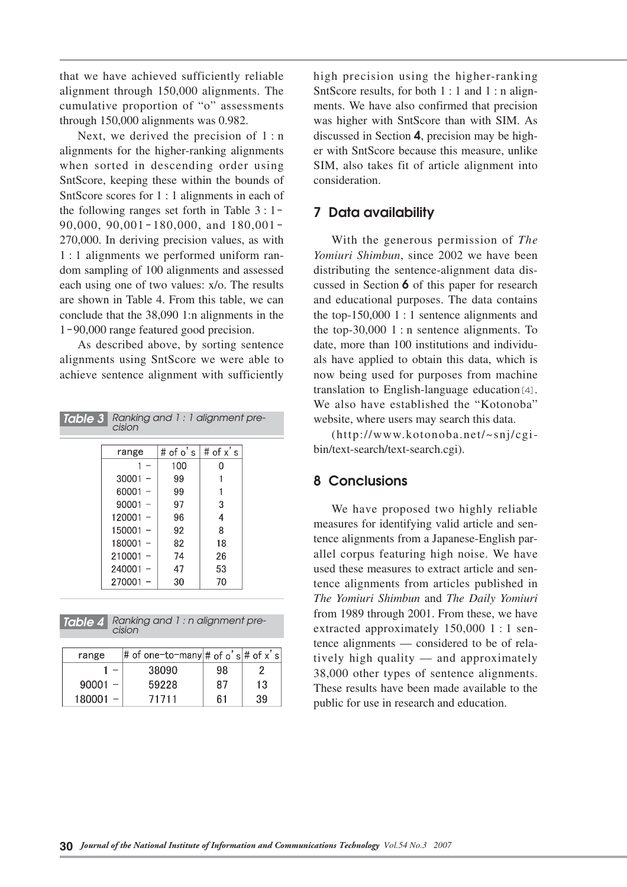that we have achieved sufficiently reliable alignment through 150,000 alignments. The cumulative proportion of "o" assessments through 150,000 alignments was 0.982.

Next, we derived the precision of  $1:n$ alignments for the higher-ranking alignments when sorted in descending order using SntScore, keeping these within the bounds of SntScore scores for 1 : 1 alignments in each of the following ranges set forth in Table 3 : 1- 90,000, 90,001-180,000, and 180,001- 270,000. In deriving precision values, as with 1 : 1 alignments we performed uniform random sampling of 100 alignments and assessed each using one of two values: x/o. The results are shown in Table 4. From this table, we can conclude that the 38,090 1:n alignments in the 1-90,000 range featured good precision.

As described above, by sorting sentence alignments using SntScore we were able to achieve sentence alignment with sufficiently

| Ranking and 1: 1 alignment pre-<br>Table 3<br>cision |            |          |             |  |  |  |  |
|------------------------------------------------------|------------|----------|-------------|--|--|--|--|
|                                                      | range      | # of o's | # of $x'$ s |  |  |  |  |
|                                                      |            | 100      | O           |  |  |  |  |
|                                                      | 30001      | 99       |             |  |  |  |  |
|                                                      | 60001      | 99       |             |  |  |  |  |
|                                                      | 90001      | 97       | 3           |  |  |  |  |
|                                                      | 120001     | 96       | 4           |  |  |  |  |
|                                                      | 150001     | 92       | 8           |  |  |  |  |
|                                                      | 180001     | 82       | 18          |  |  |  |  |
|                                                      | 210001     | 74       | 26          |  |  |  |  |
|                                                      | $240001 -$ | 47       | 53          |  |  |  |  |
|                                                      | $270001 -$ | 30       | 70          |  |  |  |  |
|                                                      |            |          |             |  |  |  |  |



| range     | # of one-to-many $\#$ of o's $\#$ of x's |    |    |
|-----------|------------------------------------------|----|----|
|           | 38090                                    | 98 |    |
| $90001 -$ | 59228                                    | 87 | 13 |
| 180001    | 71711                                    | 61 | 39 |

high precision using the higher-ranking SntScore results, for both 1 : 1 and 1 : n alignments. We have also confirmed that precision was higher with SntScore than with SIM. As discussed in Section **4**, precision may be higher with SntScore because this measure, unlike SIM, also takes fit of article alignment into consideration.

#### **7 Data availability**

With the generous permission of *The Yomiuri Shimbun*, since 2002 we have been distributing the sentence-alignment data discussed in Section **6** of this paper for research and educational purposes. The data contains the top-150,000 1 : 1 sentence alignments and the top-30,000  $1:$  n sentence alignments. To date, more than 100 institutions and individuals have applied to obtain this data, which is now being used for purposes from machine translation to English-language education[4]. We also have established the "Kotonoba" website, where users may search this data.

(http://www.kotonoba.net/~snj/cgibin/text-search/text-search.cgi).

### **8 Conclusions**

We have proposed two highly reliable measures for identifying valid article and sentence alignments from a Japanese-English parallel corpus featuring high noise. We have used these measures to extract article and sentence alignments from articles published in *The Yomiuri Shimbun* and *The Daily Yomiuri* from 1989 through 2001. From these, we have extracted approximately 150,000 1 : 1 sentence alignments — considered to be of relatively high quality — and approximately 38,000 other types of sentence alignments. These results have been made available to the public for use in research and education.